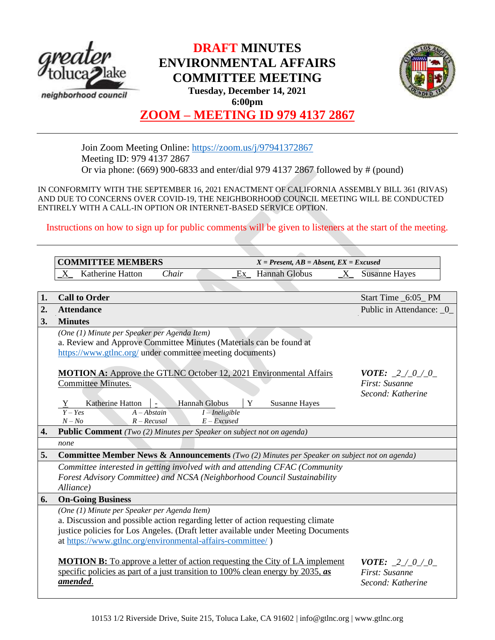

## **DRAFT MINUTES ENVIRONMENTAL AFFAIRS COMMITTEE MEETING Tuesday, December 14, 2021 6:00pm**



# **ZOOM – MEETING ID 979 4137 2867**

Join Zoom Meeting Online:<https://zoom.us/j/97941372867> Meeting ID: 979 4137 2867 Or via phone: (669) 900-6833 and enter/dial 979 4137 2867 followed by # (pound)

IN CONFORMITY WITH THE SEPTEMBER 16, 2021 ENACTMENT OF CALIFORNIA ASSEMBLY BILL 361 (RIVAS) AND DUE TO CONCERNS OVER COVID-19, THE NEIGHBORHOOD COUNCIL MEETING WILL BE CONDUCTED ENTIRELY WITH A CALL-IN OPTION OR INTERNET-BASED SERVICE OPTION.

Instructions on how to sign up for public comments will be given to listeners at the start of the meeting.

|                  | <b>COMMITTEE MEMBERS</b><br>$X = Present, AB = Absent, EX = Excused$                                                                                                                                                                                                                        |                           |                                                                 |
|------------------|---------------------------------------------------------------------------------------------------------------------------------------------------------------------------------------------------------------------------------------------------------------------------------------------|---------------------------|-----------------------------------------------------------------|
|                  | Katherine Hatton<br>Chair<br>X<br>Ex                                                                                                                                                                                                                                                        | <b>Hannah Globus</b><br>X | <b>Susanne Hayes</b>                                            |
|                  |                                                                                                                                                                                                                                                                                             |                           |                                                                 |
| 1.               | <b>Call to Order</b>                                                                                                                                                                                                                                                                        |                           | Start Time _6:05_PM                                             |
| $\overline{2}$ . | <b>Attendance</b>                                                                                                                                                                                                                                                                           |                           | Public in Attendance: 0                                         |
| 3.               | <b>Minutes</b>                                                                                                                                                                                                                                                                              |                           |                                                                 |
|                  | (One (1) Minute per Speaker per Agenda Item)<br>a. Review and Approve Committee Minutes (Materials can be found at<br>https://www.gtlnc.org/ under committee meeting documents)                                                                                                             |                           |                                                                 |
|                  | <b>MOTION A:</b> Approve the GTLNC October 12, 2021 Environmental Affairs<br><b>Committee Minutes.</b><br>Y<br><b>Hannah Globus</b><br>Katherine Hatton<br>$\mathcal{L}_{\mathcal{A}}$<br>Y<br>$Y - Yes$<br>$A - Abstain$<br>$I$ – Ineligible<br>$N - No$<br>$R - Recusal$<br>$E$ – Excused | <b>Susanne Hayes</b>      | <b>VOTE:</b> $2 / 0 / 0$<br>First: Susanne<br>Second: Katherine |
| 4.               | <b>Public Comment</b> (Two (2) Minutes per Speaker on subject not on agenda)                                                                                                                                                                                                                |                           |                                                                 |
|                  | none                                                                                                                                                                                                                                                                                        |                           |                                                                 |
| 5.               | <b>Committee Member News &amp; Announcements</b> (Two (2) Minutes per Speaker on subject not on agenda)                                                                                                                                                                                     |                           |                                                                 |
|                  | Committee interested in getting involved with and attending CFAC (Community<br>Forest Advisory Committee) and NCSA (Neighborhood Council Sustainability<br>Alliance)                                                                                                                        |                           |                                                                 |
| 6.               | <b>On-Going Business</b>                                                                                                                                                                                                                                                                    |                           |                                                                 |
|                  | (One (1) Minute per Speaker per Agenda Item)<br>a. Discussion and possible action regarding letter of action requesting climate<br>justice policies for Los Angeles. (Draft letter available under Meeting Documents<br>at https://www.gtlnc.org/environmental-affairs-committee/)          |                           |                                                                 |
|                  | <b>MOTION B:</b> To approve a letter of action requesting the City of LA implement<br>specific policies as part of a just transition to 100% clean energy by 2035, $\boldsymbol{a}$ s<br>amended.                                                                                           |                           | <b>VOTE:</b> $2 / 0 / 0$<br>First: Susanne<br>Second: Katherine |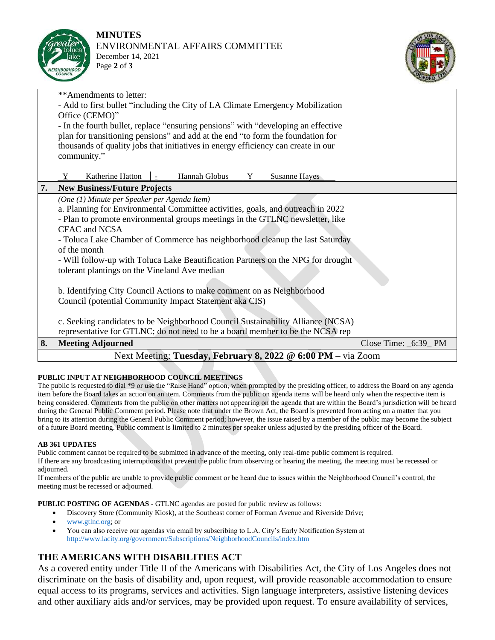



|    | **Amendments to letter:                                                           |                       |  |  |  |
|----|-----------------------------------------------------------------------------------|-----------------------|--|--|--|
|    | - Add to first bullet "including the City of LA Climate Emergency Mobilization    |                       |  |  |  |
|    | Office (CEMO)"                                                                    |                       |  |  |  |
|    | - In the fourth bullet, replace "ensuring pensions" with "developing an effective |                       |  |  |  |
|    | plan for transitioning pensions" and add at the end "to form the foundation for   |                       |  |  |  |
|    | thousands of quality jobs that initiatives in energy efficiency can create in our |                       |  |  |  |
|    | community."                                                                       |                       |  |  |  |
|    | Hannah Globus<br>Katherine Hatton<br>Y<br><b>Susanne Hayes</b><br>Y               |                       |  |  |  |
| 7. | <b>New Business/Future Projects</b>                                               |                       |  |  |  |
|    | (One (1) Minute per Speaker per Agenda Item)                                      |                       |  |  |  |
|    | a. Planning for Environmental Committee activities, goals, and outreach in 2022   |                       |  |  |  |
|    | - Plan to promote environmental groups meetings in the GTLNC newsletter, like     |                       |  |  |  |
|    | <b>CFAC</b> and NCSA                                                              |                       |  |  |  |
|    | - Toluca Lake Chamber of Commerce has neighborhood cleanup the last Saturday      |                       |  |  |  |
|    | of the month                                                                      |                       |  |  |  |
|    | - Will follow-up with Toluca Lake Beautification Partners on the NPG for drought  |                       |  |  |  |
|    | tolerant plantings on the Vineland Ave median                                     |                       |  |  |  |
|    |                                                                                   |                       |  |  |  |
|    | b. Identifying City Council Actions to make comment on as Neighborhood            |                       |  |  |  |
|    | Council (potential Community Impact Statement aka CIS)                            |                       |  |  |  |
|    |                                                                                   |                       |  |  |  |
|    | c. Seeking candidates to be Neighborhood Council Sustainability Alliance (NCSA)   |                       |  |  |  |
|    | representative for GTLNC; do not need to be a board member to be the NCSA rep     |                       |  |  |  |
| 8. | <b>Meeting Adjourned</b>                                                          | Close Time: _6:39_ PM |  |  |  |
|    | Next Meeting: Tuesday, February 8, 2022 @ 6:00 PM - via Zoom                      |                       |  |  |  |

## **PUBLIC INPUT AT NEIGHBORHOOD COUNCIL MEETINGS**

The public is requested to dial \*9 or use the "Raise Hand" option, when prompted by the presiding officer, to address the Board on any agenda item before the Board takes an action on an item. Comments from the public on agenda items will be heard only when the respective item is being considered. Comments from the public on other matters not appearing on the agenda that are within the Board's jurisdiction will be heard during the General Public Comment period. Please note that under the Brown Act, the Board is prevented from acting on a matter that you bring to its attention during the General Public Comment period; however, the issue raised by a member of the public may become the subject of a future Board meeting. Public comment is limited to 2 minutes per speaker unless adjusted by the presiding officer of the Board.

## **AB 361 UPDATES**

Public comment cannot be required to be submitted in advance of the meeting, only real-time public comment is required. If there are any broadcasting interruptions that prevent the public from observing or hearing the meeting, the meeting must be recessed or adjourned.

If members of the public are unable to provide public comment or be heard due to issues within the Neighborhood Council's control, the meeting must be recessed or adjourned.

**PUBLIC POSTING OF AGENDAS** - GTLNC agendas are posted for public review as follows:

- Discovery Store (Community Kiosk), at the Southeast corner of Forman Avenue and Riverside Drive;
- [www.gtlnc.org;](http://www.gtlnc.org/) or
- You can also receive our agendas via email by subscribing to L.A. City's Early Notification System at <http://www.lacity.org/government/Subscriptions/NeighborhoodCouncils/index.htm>

## **THE AMERICANS WITH DISABILITIES ACT**

As a covered entity under Title II of the Americans with Disabilities Act, the City of Los Angeles does not discriminate on the basis of disability and, upon request, will provide reasonable accommodation to ensure equal access to its programs, services and activities. Sign language interpreters, assistive listening devices and other auxiliary aids and/or services, may be provided upon request. To ensure availability of services,